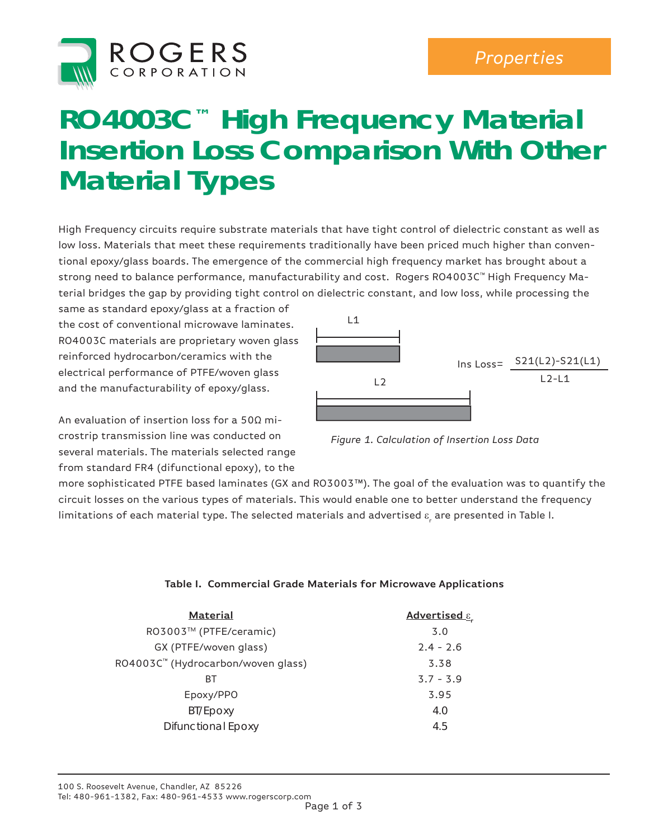

## *Technical Articles Properties*

## **RO4003C™ High Frequency Material Insertion Loss Comparison With Other Material Types**

High Frequency circuits require substrate materials that have tight control of dielectric constant as well as low loss. Materials that meet these requirements traditionally have been priced much higher than conventional epoxy/glass boards. The emergence of the commercial high frequency market has brought about a strong need to balance performance, manufacturability and cost. Rogers RO4003C™ High Frequency Material bridges the gap by providing tight control on dielectric constant, and low loss, while processing the

same as standard epoxy/glass at a fraction of the cost of conventional microwave laminates. RO4003C materials are proprietary woven glass reinforced hydrocarbon/ceramics with the electrical performance of PTFE/woven glass and the manufacturability of epoxy/glass.

An evaluation of insertion loss for a 50Ω microstrip transmission line was conducted on several materials. The materials selected range from standard FR4 (difunctional epoxy), to the



*Figure 1. Calculation of Insertion Loss Data*

more sophisticated PTFE based laminates (GX and RO3003™). The goal of the evaluation was to quantify the circuit losses on the various types of materials. This would enable one to better understand the frequency limitations of each material type. The selected materials and advertised  $\varepsilon_{_{\rm r}}$  are presented in Table I.

## **Table I. Commercial Grade Materials for Microwave Applications**

| <b>Material</b>                    | Advertised ε. |  |  |
|------------------------------------|---------------|--|--|
| RO3003™ (PTFE/ceramic)             | 3.0           |  |  |
| GX (PTFE/woven glass)              | $2.4 - 2.6$   |  |  |
| RO4003C™ (Hydrocarbon/woven glass) | 3.38          |  |  |
| ВT                                 | $3.7 - 3.9$   |  |  |
| Epoxy/PPO                          | 3.95          |  |  |
| BT/Epoxy                           | 4.0           |  |  |
| <b>Difunctional Epoxy</b>          | 4.5           |  |  |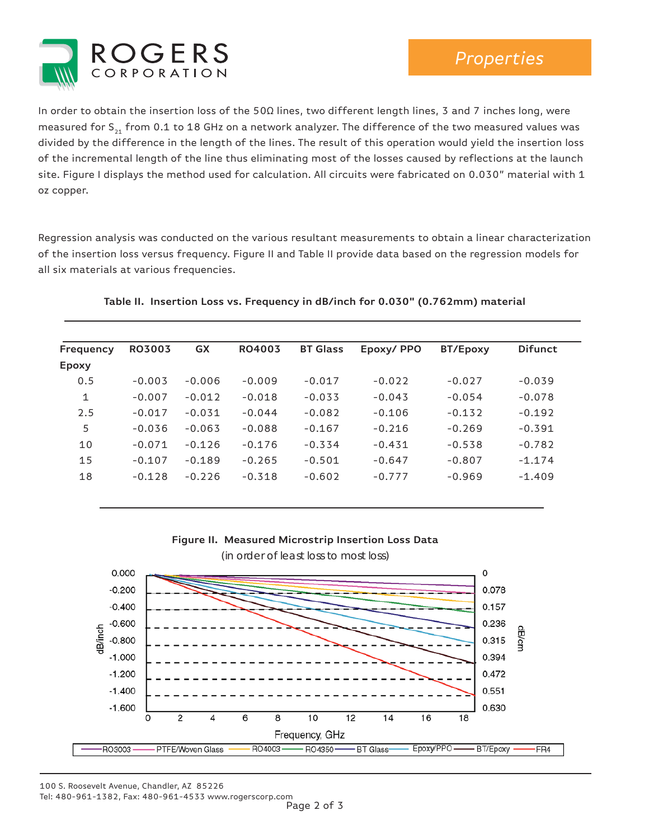

In order to obtain the insertion loss of the 50Ω lines, two different length lines, 3 and 7 inches long, were measured for  $S_{21}$  from 0.1 to 18 GHz on a network analyzer. The difference of the two measured values was divided by the difference in the length of the lines. The result of this operation would yield the insertion loss of the incremental length of the line thus eliminating most of the losses caused by reflections at the launch site. Figure I displays the method used for calculation. All circuits were fabricated on 0.030" material with 1 oz copper.

Regression analysis was conducted on the various resultant measurements to obtain a linear characterization of the insertion loss versus frequency. Figure II and Table II provide data based on the regression models for all six materials at various frequencies.

| Frequency    | <b>RO3003</b> | <b>GX</b> | RO4003   | <b>BT Glass</b> | Epoxy/PPO | BT/Epoxy | <b>Difunct</b> |
|--------------|---------------|-----------|----------|-----------------|-----------|----------|----------------|
| <b>Epoxy</b> |               |           |          |                 |           |          |                |
| 0.5          | $-0.003$      | $-0.006$  | $-0.009$ | $-0.017$        | $-0.022$  | $-0.027$ | $-0.039$       |
| 1            | $-0.007$      | $-0.012$  | $-0.018$ | $-0.033$        | $-0.043$  | $-0.054$ | $-0.078$       |
| 2.5          | $-0.017$      | $-0.031$  | $-0.044$ | $-0.082$        | $-0.106$  | $-0.132$ | $-0.192$       |
| 5            | $-0.036$      | $-0.063$  | $-0.088$ | $-0.167$        | $-0.216$  | $-0.269$ | $-0.391$       |
| 10           | $-0.071$      | $-0.126$  | $-0.176$ | $-0.334$        | $-0.431$  | $-0.538$ | $-0.782$       |
| 15           | $-0.107$      | $-0.189$  | $-0.265$ | $-0.501$        | $-0.647$  | $-0.807$ | $-1.174$       |
| 18           | $-0.128$      | $-0.226$  | $-0.318$ | $-0.602$        | $-0.777$  | $-0.969$ | $-1.409$       |
|              |               |           |          |                 |           |          |                |

## **Table II. Insertion Loss vs. Frequency in dB/inch for 0.030" (0.762mm) material**





100 S. Roosevelt Avenue, Chandler, AZ 85226 Tel: 480-961-1382, Fax: 480-961-4533 www.rogerscorp.com